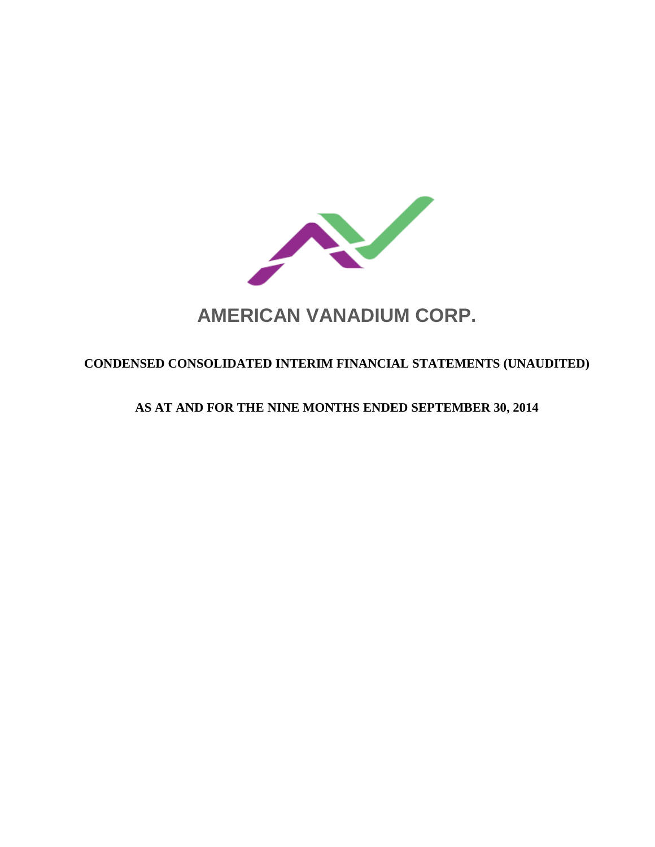

# **AMERICAN VANADIUM CORP.**

# **CONDENSED CONSOLIDATED INTERIM FINANCIAL STATEMENTS (UNAUDITED)**

# **AS AT AND FOR THE NINE MONTHS ENDED SEPTEMBER 30, 2014**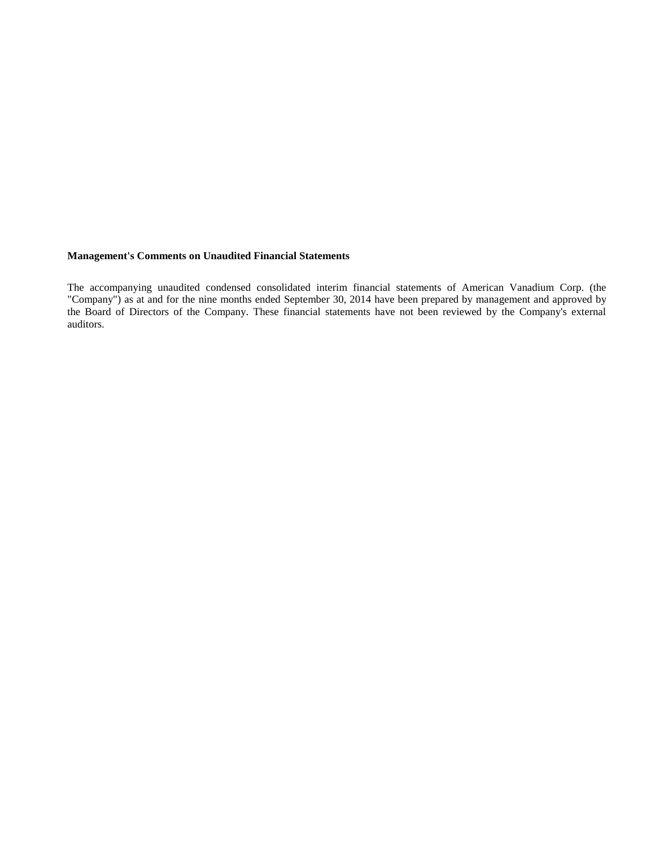# **Management's Comments on Unaudited Financial Statements**

The accompanying unaudited condensed consolidated interim financial statements of American Vanadium Corp. (the "Company") as at and for the nine months ended September 30, 2014 have been prepared by management and approved by the Board of Directors of the Company. These financial statements have not been reviewed by the Company's external auditors.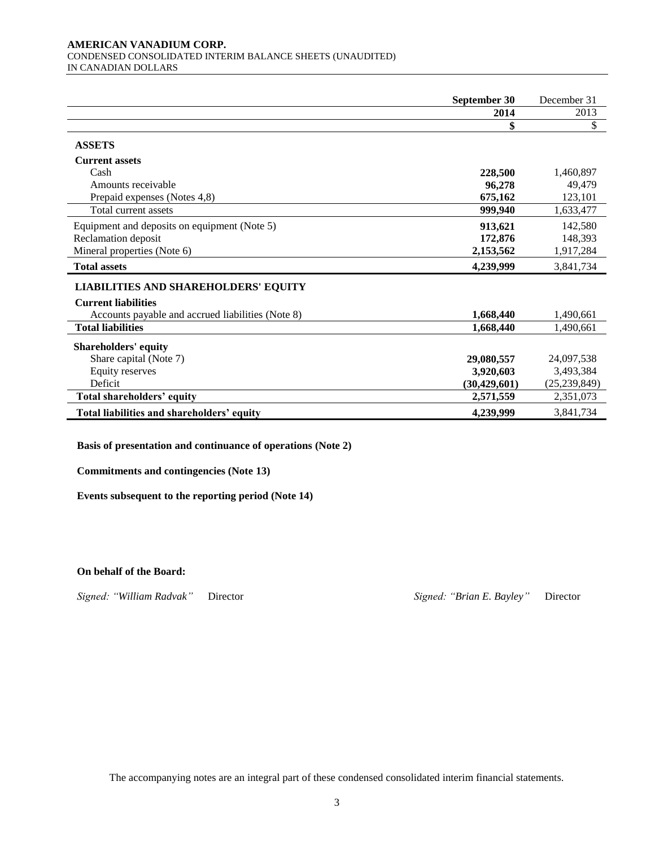#### **AMERICAN VANADIUM CORP.**  CONDENSED CONSOLIDATED INTERIM BALANCE SHEETS (UNAUDITED) IN CANADIAN DOLLARS

|                                                   | September 30   | December 31    |
|---------------------------------------------------|----------------|----------------|
|                                                   | 2014           | 2013           |
|                                                   | \$             | \$             |
| <b>ASSETS</b>                                     |                |                |
| <b>Current assets</b>                             |                |                |
| Cash                                              | 228,500        | 1,460,897      |
| Amounts receivable                                | 96,278         | 49,479         |
| Prepaid expenses (Notes 4,8)                      | 675,162        | 123,101        |
| Total current assets                              | 999,940        | 1.633.477      |
| Equipment and deposits on equipment (Note 5)      | 913,621        | 142,580        |
| Reclamation deposit                               | 172,876        | 148,393        |
| Mineral properties (Note 6)                       | 2,153,562      | 1,917,284      |
| <b>Total assets</b>                               | 4,239,999      | 3,841,734      |
| <b>LIABILITIES AND SHAREHOLDERS' EQUITY</b>       |                |                |
| <b>Current liabilities</b>                        |                |                |
| Accounts payable and accrued liabilities (Note 8) | 1,668,440      | 1,490,661      |
| <b>Total liabilities</b>                          | 1,668,440      | 1,490,661      |
| <b>Shareholders' equity</b>                       |                |                |
| Share capital (Note 7)                            | 29,080,557     | 24,097,538     |
| Equity reserves                                   | 3,920,603      | 3,493,384      |
| Deficit                                           | (30, 429, 601) | (25, 239, 849) |
| Total shareholders' equity                        | 2,571,559      | 2,351,073      |
| Total liabilities and shareholders' equity        | 4,239,999      | 3,841,734      |

**Basis of presentation and continuance of operations (Note 2)**

**Commitments and contingencies (Note 13)**

**Events subsequent to the reporting period (Note 14)**

#### **On behalf of the Board:**

*Signed: "William Radvak"* Director *Signed: "Brian E. Bayley"* Director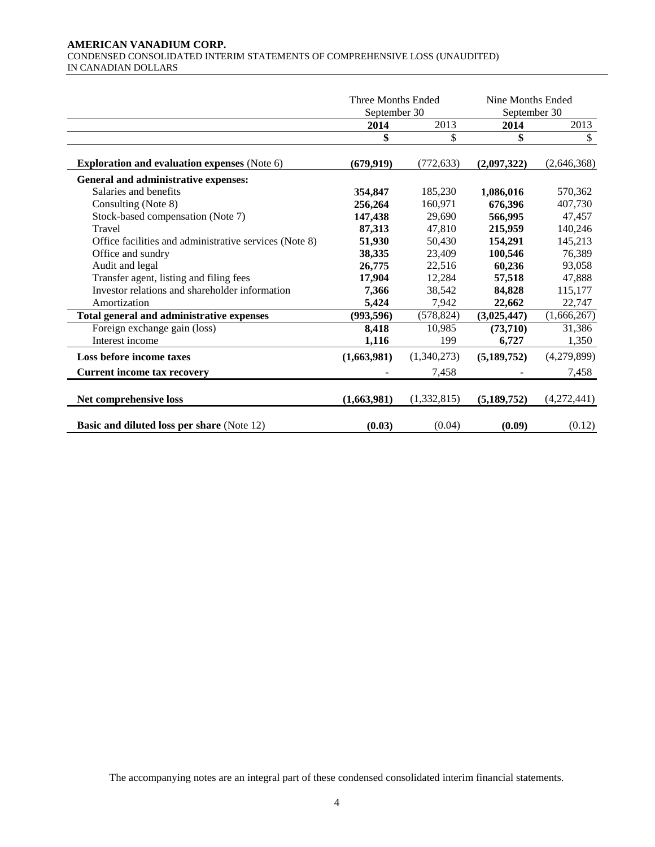#### **AMERICAN VANADIUM CORP.**  CONDENSED CONSOLIDATED INTERIM STATEMENTS OF COMPREHENSIVE LOSS (UNAUDITED) IN CANADIAN DOLLARS

|                                                        | Three Months Ended<br>September 30 |             | Nine Months Ended<br>September 30 |             |
|--------------------------------------------------------|------------------------------------|-------------|-----------------------------------|-------------|
|                                                        | 2014                               | 2013        | 2014                              | 2013        |
|                                                        | \$                                 | \$          | \$                                | \$          |
| <b>Exploration and evaluation expenses (Note 6)</b>    | (679, 919)                         | (772, 633)  | (2,097,322)                       | (2,646,368) |
| General and administrative expenses:                   |                                    |             |                                   |             |
| Salaries and benefits                                  | 354,847                            | 185,230     | 1,086,016                         | 570,362     |
| Consulting (Note 8)                                    | 256,264                            | 160,971     | 676.396                           | 407,730     |
| Stock-based compensation (Note 7)                      | 147,438                            | 29.690      | 566,995                           | 47.457      |
| Travel                                                 | 87,313                             | 47,810      | 215,959                           | 140,246     |
| Office facilities and administrative services (Note 8) | 51,930                             | 50,430      | 154,291                           | 145,213     |
| Office and sundry                                      | 38,335                             | 23,409      | 100,546                           | 76,389      |
| Audit and legal                                        | 26,775                             | 22,516      | 60,236                            | 93,058      |
| Transfer agent, listing and filing fees                | 17,904                             | 12,284      | 57,518                            | 47,888      |
| Investor relations and shareholder information         | 7,366                              | 38,542      | 84,828                            | 115,177     |
| Amortization                                           | 5,424                              | 7,942       | 22,662                            | 22,747      |
| Total general and administrative expenses              | (993, 596)                         | (578, 824)  | (3,025,447)                       | (1,666,267) |
| Foreign exchange gain (loss)                           | 8,418                              | 10,985      | (73,710)                          | 31,386      |
| Interest income                                        | 1,116                              | 199         | 6,727                             | 1,350       |
| Loss before income taxes                               | (1,663,981)                        | (1,340,273) | (5,189,752)                       | (4,279,899) |
| <b>Current income tax recovery</b>                     |                                    | 7,458       |                                   | 7,458       |
| Net comprehensive loss                                 | (1,663,981)                        | (1,332,815) | (5, 189, 752)                     | (4,272,441) |
| <b>Basic and diluted loss per share (Note 12)</b>      | (0.03)                             | (0.04)      | (0.09)                            | (0.12)      |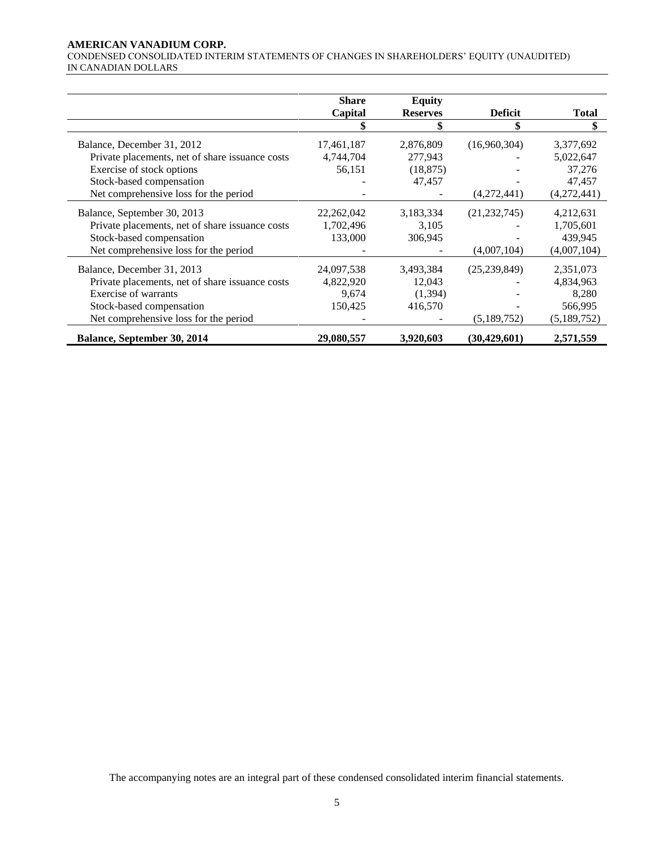#### **AMERICAN VANADIUM CORP.**

CONDENSED CONSOLIDATED INTERIM STATEMENTS OF CHANGES IN SHAREHOLDERS' EQUITY (UNAUDITED) IN CANADIAN DOLLARS

|                                                 | <b>Share</b> | <b>Equity</b>   |                |              |
|-------------------------------------------------|--------------|-----------------|----------------|--------------|
|                                                 | Capital      | <b>Reserves</b> | <b>Deficit</b> | <b>Total</b> |
|                                                 |              |                 | \$             | \$           |
| Balance, December 31, 2012                      | 17,461,187   | 2,876,809       | (16,960,304)   | 3,377,692    |
| Private placements, net of share issuance costs | 4,744,704    | 277,943         |                | 5,022,647    |
| Exercise of stock options                       | 56,151       | (18, 875)       |                | 37,276       |
| Stock-based compensation                        |              | 47,457          |                | 47,457       |
| Net comprehensive loss for the period           |              |                 | (4,272,441)    | (4,272,441)  |
| Balance, September 30, 2013                     | 22, 262, 042 | 3,183,334       | (21, 232, 745) | 4,212,631    |
| Private placements, net of share issuance costs | 1,702,496    | 3,105           |                | 1,705,601    |
| Stock-based compensation                        | 133,000      | 306,945         |                | 439,945      |
| Net comprehensive loss for the period           |              |                 | (4,007,104)    | (4,007,104)  |
| Balance, December 31, 2013                      | 24,097,538   | 3,493,384       | (25, 239, 849) | 2,351,073    |
| Private placements, net of share issuance costs | 4,822,920    | 12,043          |                | 4,834,963    |
| Exercise of warrants                            | 9,674        | (1, 394)        |                | 8,280        |
| Stock-based compensation                        | 150,425      | 416,570         |                | 566,995      |
| Net comprehensive loss for the period           |              |                 | (5,189,752)    | (5,189,752)  |
| Balance, September 30, 2014                     | 29,080,557   | 3,920,603       | (30, 429, 601) | 2,571,559    |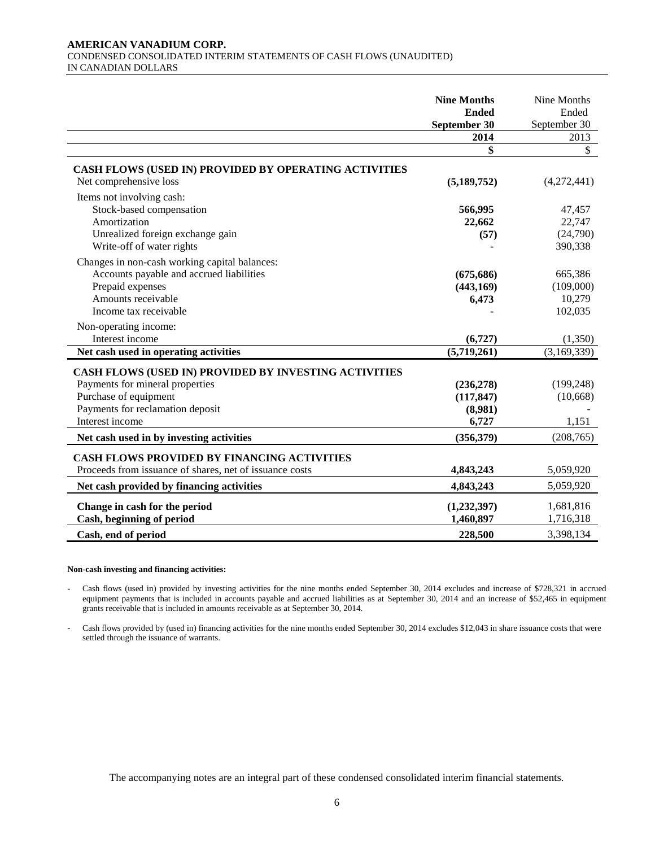#### **AMERICAN VANADIUM CORP.**  CONDENSED CONSOLIDATED INTERIM STATEMENTS OF CASH FLOWS (UNAUDITED) IN CANADIAN DOLLARS

|                                                                                                                                                                          | <b>Nine Months</b><br><b>Ended</b><br>September 30 | Nine Months<br>Ended<br>September 30      |
|--------------------------------------------------------------------------------------------------------------------------------------------------------------------------|----------------------------------------------------|-------------------------------------------|
|                                                                                                                                                                          | 2014                                               | 2013                                      |
|                                                                                                                                                                          | \$                                                 | \$                                        |
| <b>CASH FLOWS (USED IN) PROVIDED BY OPERATING ACTIVITIES</b><br>Net comprehensive loss                                                                                   | (5,189,752)                                        | (4,272,441)                               |
| Items not involving cash:<br>Stock-based compensation<br>Amortization<br>Unrealized foreign exchange gain<br>Write-off of water rights                                   | 566,995<br>22,662<br>(57)                          | 47,457<br>22,747<br>(24,790)<br>390,338   |
| Changes in non-cash working capital balances:<br>Accounts payable and accrued liabilities<br>Prepaid expenses<br>Amounts receivable<br>Income tax receivable             | (675, 686)<br>(443, 169)<br>6,473                  | 665,386<br>(109,000)<br>10,279<br>102,035 |
| Non-operating income:<br>Interest income                                                                                                                                 | (6,727)                                            | (1,350)                                   |
| Net cash used in operating activities                                                                                                                                    | (5,719,261)                                        | (3,169,339)                               |
| CASH FLOWS (USED IN) PROVIDED BY INVESTING ACTIVITIES<br>Payments for mineral properties<br>Purchase of equipment<br>Payments for reclamation deposit<br>Interest income | (236, 278)<br>(117, 847)<br>(8,981)<br>6,727       | (199, 248)<br>(10,668)<br>1,151           |
| Net cash used in by investing activities                                                                                                                                 | (356, 379)                                         | (208, 765)                                |
| <b>CASH FLOWS PROVIDED BY FINANCING ACTIVITIES</b><br>Proceeds from issuance of shares, net of issuance costs<br>Net cash provided by financing activities               | 4,843,243<br>4,843,243                             | 5,059,920<br>5,059,920                    |
| Change in cash for the period<br>Cash, beginning of period                                                                                                               | (1,232,397)<br>1,460,897                           | 1,681,816<br>1,716,318                    |
| Cash, end of period                                                                                                                                                      | 228,500                                            | 3,398,134                                 |

#### **Non-cash investing and financing activities:**

Cash flows (used in) provided by investing activities for the nine months ended September 30, 2014 excludes and increase of \$728,321 in accrued equipment payments that is included in accounts payable and accrued liabilities as at September 30, 2014 and an increase of \$52,465 in equipment grants receivable that is included in amounts receivable as at September 30, 2014.

- Cash flows provided by (used in) financing activities for the nine months ended September 30, 2014 excludes \$12,043 in share issuance costs that were settled through the issuance of warrants.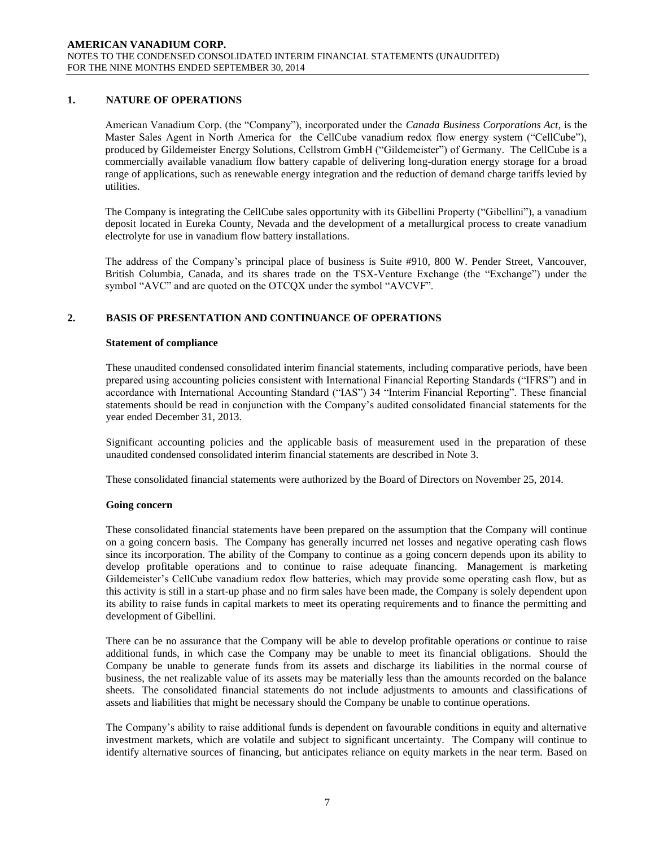# **1. NATURE OF OPERATIONS**

American Vanadium Corp. (the "Company"), incorporated under the *Canada Business Corporations Act*, is the Master Sales Agent in North America for the CellCube vanadium redox flow energy system ("CellCube"), produced by Gildemeister Energy Solutions, Cellstrom GmbH ("Gildemeister") of Germany. The CellCube is a commercially available vanadium flow battery capable of delivering long-duration energy storage for a broad range of applications, such as renewable energy integration and the reduction of demand charge tariffs levied by utilities.

The Company is integrating the CellCube sales opportunity with its Gibellini Property ("Gibellini"), a vanadium deposit located in Eureka County, Nevada and the development of a metallurgical process to create vanadium electrolyte for use in vanadium flow battery installations.

The address of the Company's principal place of business is Suite #910, 800 W. Pender Street, Vancouver, British Columbia, Canada, and its shares trade on the TSX-Venture Exchange (the "Exchange") under the symbol "AVC" and are quoted on the OTCQX under the symbol "AVCVF".

# **2. BASIS OF PRESENTATION AND CONTINUANCE OF OPERATIONS**

### **Statement of compliance**

These unaudited condensed consolidated interim financial statements, including comparative periods, have been prepared using accounting policies consistent with International Financial Reporting Standards ("IFRS") and in accordance with International Accounting Standard ("IAS") 34 "Interim Financial Reporting". These financial statements should be read in conjunction with the Company's audited consolidated financial statements for the year ended December 31, 2013.

Significant accounting policies and the applicable basis of measurement used in the preparation of these unaudited condensed consolidated interim financial statements are described in Note 3.

These consolidated financial statements were authorized by the Board of Directors on November 25, 2014.

# **Going concern**

These consolidated financial statements have been prepared on the assumption that the Company will continue on a going concern basis. The Company has generally incurred net losses and negative operating cash flows since its incorporation. The ability of the Company to continue as a going concern depends upon its ability to develop profitable operations and to continue to raise adequate financing. Management is marketing Gildemeister's CellCube vanadium redox flow batteries, which may provide some operating cash flow, but as this activity is still in a start-up phase and no firm sales have been made, the Company is solely dependent upon its ability to raise funds in capital markets to meet its operating requirements and to finance the permitting and development of Gibellini.

There can be no assurance that the Company will be able to develop profitable operations or continue to raise additional funds, in which case the Company may be unable to meet its financial obligations. Should the Company be unable to generate funds from its assets and discharge its liabilities in the normal course of business, the net realizable value of its assets may be materially less than the amounts recorded on the balance sheets. The consolidated financial statements do not include adjustments to amounts and classifications of assets and liabilities that might be necessary should the Company be unable to continue operations.

The Company's ability to raise additional funds is dependent on favourable conditions in equity and alternative investment markets, which are volatile and subject to significant uncertainty. The Company will continue to identify alternative sources of financing, but anticipates reliance on equity markets in the near term. Based on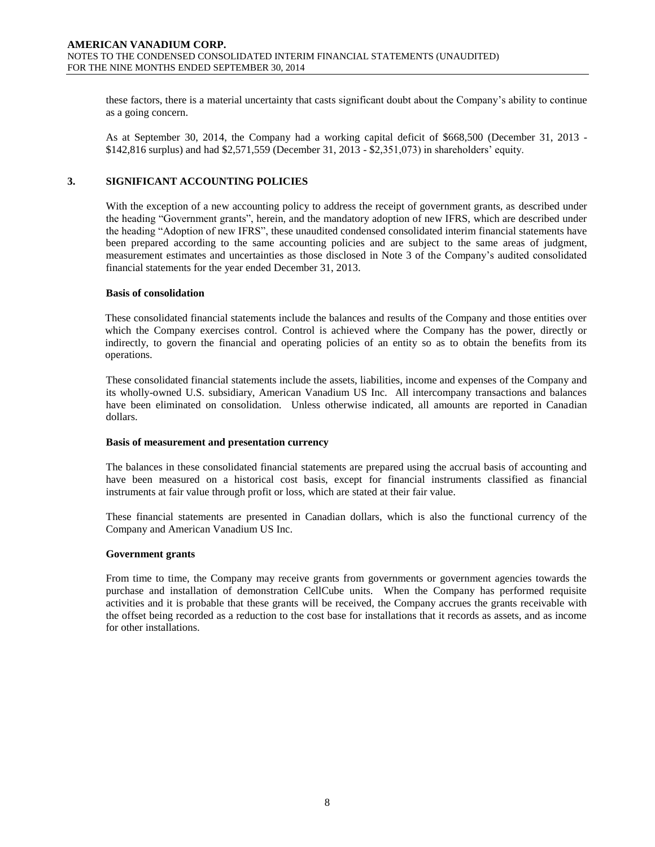these factors, there is a material uncertainty that casts significant doubt about the Company's ability to continue as a going concern.

As at September 30, 2014, the Company had a working capital deficit of \$668,500 (December 31, 2013 - \$142,816 surplus) and had \$2,571,559 (December 31, 2013 - \$2,351,073) in shareholders' equity.

# **3. SIGNIFICANT ACCOUNTING POLICIES**

With the exception of a new accounting policy to address the receipt of government grants, as described under the heading "Government grants", herein, and the mandatory adoption of new IFRS, which are described under the heading "Adoption of new IFRS", these unaudited condensed consolidated interim financial statements have been prepared according to the same accounting policies and are subject to the same areas of judgment, measurement estimates and uncertainties as those disclosed in Note 3 of the Company's audited consolidated financial statements for the year ended December 31, 2013.

#### **Basis of consolidation**

These consolidated financial statements include the balances and results of the Company and those entities over which the Company exercises control. Control is achieved where the Company has the power, directly or indirectly, to govern the financial and operating policies of an entity so as to obtain the benefits from its operations.

These consolidated financial statements include the assets, liabilities, income and expenses of the Company and its wholly-owned U.S. subsidiary, American Vanadium US Inc. All intercompany transactions and balances have been eliminated on consolidation. Unless otherwise indicated, all amounts are reported in Canadian dollars.

#### **Basis of measurement and presentation currency**

The balances in these consolidated financial statements are prepared using the accrual basis of accounting and have been measured on a historical cost basis, except for financial instruments classified as financial instruments at fair value through profit or loss, which are stated at their fair value.

These financial statements are presented in Canadian dollars, which is also the functional currency of the Company and American Vanadium US Inc.

#### **Government grants**

From time to time, the Company may receive grants from governments or government agencies towards the purchase and installation of demonstration CellCube units. When the Company has performed requisite activities and it is probable that these grants will be received, the Company accrues the grants receivable with the offset being recorded as a reduction to the cost base for installations that it records as assets, and as income for other installations.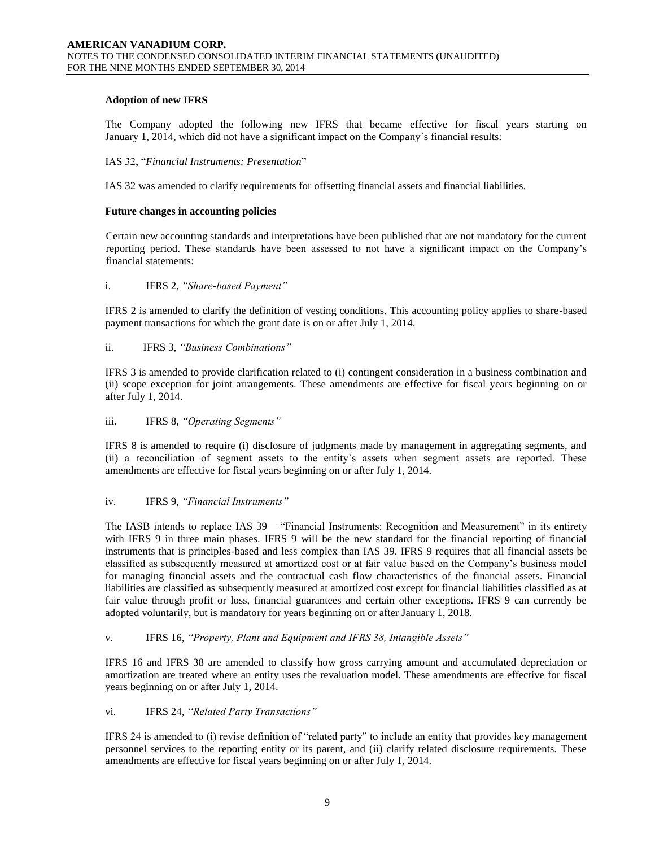# **Adoption of new IFRS**

The Company adopted the following new IFRS that became effective for fiscal years starting on January 1, 2014, which did not have a significant impact on the Company`s financial results:

### IAS 32, "*Financial Instruments: Presentation*"

IAS 32 was amended to clarify requirements for offsetting financial assets and financial liabilities.

#### **Future changes in accounting policies**

Certain new accounting standards and interpretations have been published that are not mandatory for the current reporting period. These standards have been assessed to not have a significant impact on the Company's financial statements:

### i. IFRS 2, *"Share-based Payment"*

IFRS 2 is amended to clarify the definition of vesting conditions. This accounting policy applies to share-based payment transactions for which the grant date is on or after July 1, 2014.

### ii. IFRS 3, *"Business Combinations"*

IFRS 3 is amended to provide clarification related to (i) contingent consideration in a business combination and (ii) scope exception for joint arrangements. These amendments are effective for fiscal years beginning on or after July 1, 2014.

### iii. IFRS 8, *"Operating Segments"*

IFRS 8 is amended to require (i) disclosure of judgments made by management in aggregating segments, and (ii) a reconciliation of segment assets to the entity's assets when segment assets are reported. These amendments are effective for fiscal years beginning on or after July 1, 2014.

#### iv. IFRS 9, *"Financial Instruments"*

The IASB intends to replace IAS 39 – "Financial Instruments: Recognition and Measurement" in its entirety with IFRS 9 in three main phases. IFRS 9 will be the new standard for the financial reporting of financial instruments that is principles-based and less complex than IAS 39. IFRS 9 requires that all financial assets be classified as subsequently measured at amortized cost or at fair value based on the Company's business model for managing financial assets and the contractual cash flow characteristics of the financial assets. Financial liabilities are classified as subsequently measured at amortized cost except for financial liabilities classified as at fair value through profit or loss, financial guarantees and certain other exceptions. IFRS 9 can currently be adopted voluntarily, but is mandatory for years beginning on or after January 1, 2018.

#### v. IFRS 16, *"Property, Plant and Equipment and IFRS 38, Intangible Assets"*

IFRS 16 and IFRS 38 are amended to classify how gross carrying amount and accumulated depreciation or amortization are treated where an entity uses the revaluation model. These amendments are effective for fiscal years beginning on or after July 1, 2014.

# vi. IFRS 24, *"Related Party Transactions"*

IFRS 24 is amended to (i) revise definition of "related party" to include an entity that provides key management personnel services to the reporting entity or its parent, and (ii) clarify related disclosure requirements. These amendments are effective for fiscal years beginning on or after July 1, 2014.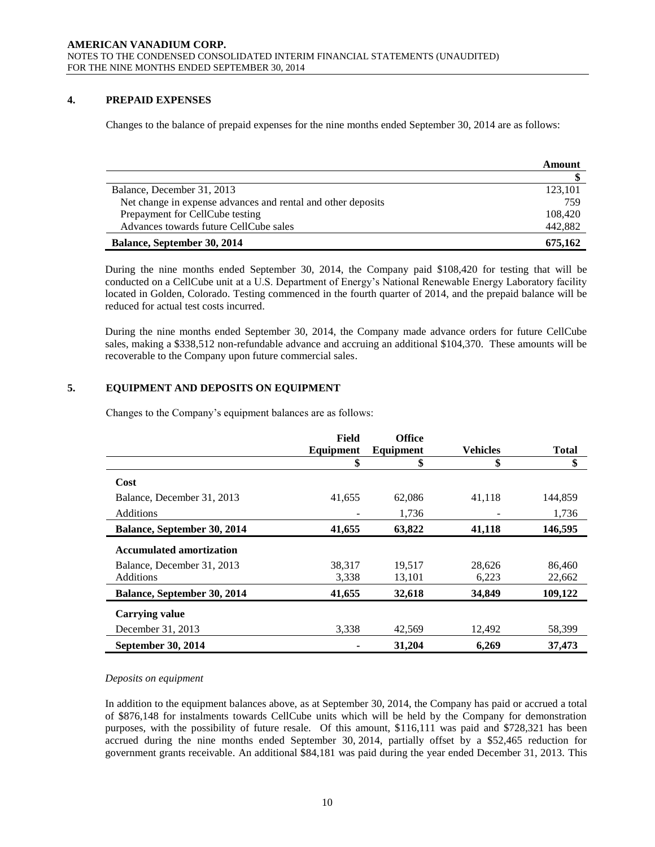# **4. PREPAID EXPENSES**

Changes to the balance of prepaid expenses for the nine months ended September 30, 2014 are as follows:

|                                                              | Amount  |
|--------------------------------------------------------------|---------|
|                                                              |         |
| Balance, December 31, 2013                                   | 123,101 |
| Net change in expense advances and rental and other deposits | 759     |
| Prepayment for CellCube testing                              | 108,420 |
| Advances towards future CellCube sales                       | 442,882 |
| Balance, September 30, 2014                                  | 675.162 |

During the nine months ended September 30, 2014, the Company paid \$108,420 for testing that will be conducted on a CellCube unit at a U.S. Department of Energy's National Renewable Energy Laboratory facility located in Golden, Colorado. Testing commenced in the fourth quarter of 2014, and the prepaid balance will be reduced for actual test costs incurred.

During the nine months ended September 30, 2014, the Company made advance orders for future CellCube sales, making a \$338,512 non-refundable advance and accruing an additional \$104,370. These amounts will be recoverable to the Company upon future commercial sales.

# **5. EQUIPMENT AND DEPOSITS ON EQUIPMENT**

Changes to the Company's equipment balances are as follows:

|                                    | Field     | <b>Office</b> |                 |              |
|------------------------------------|-----------|---------------|-----------------|--------------|
|                                    | Equipment | Equipment     | <b>Vehicles</b> | <b>Total</b> |
|                                    | \$        | \$            | \$              | \$           |
| Cost                               |           |               |                 |              |
| Balance, December 31, 2013         | 41,655    | 62,086        | 41,118          | 144.859      |
| <b>Additions</b>                   |           | 1.736         |                 | 1,736        |
| <b>Balance, September 30, 2014</b> | 41,655    | 63,822        | 41,118          | 146,595      |
| <b>Accumulated amortization</b>    |           |               |                 |              |
| Balance, December 31, 2013         | 38,317    | 19,517        | 28,626          | 86,460       |
| <b>Additions</b>                   | 3,338     | 13,101        | 6,223           | 22,662       |
| Balance, September 30, 2014        | 41,655    | 32,618        | 34,849          | 109,122      |
| <b>Carrying value</b>              |           |               |                 |              |
| December 31, 2013                  | 3.338     | 42,569        | 12,492          | 58.399       |
| September 30, 2014                 |           | 31,204        | 6,269           | 37,473       |

*Deposits on equipment*

In addition to the equipment balances above, as at September 30, 2014, the Company has paid or accrued a total of \$876,148 for instalments towards CellCube units which will be held by the Company for demonstration purposes, with the possibility of future resale. Of this amount, \$116,111 was paid and \$728,321 has been accrued during the nine months ended September 30, 2014, partially offset by a \$52,465 reduction for government grants receivable. An additional \$84,181 was paid during the year ended December 31, 2013. This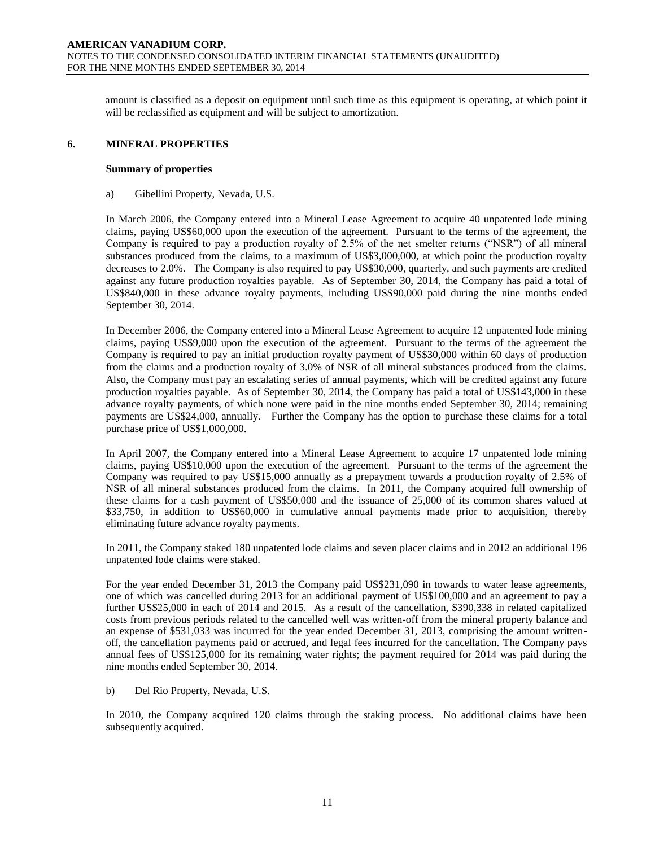amount is classified as a deposit on equipment until such time as this equipment is operating, at which point it will be reclassified as equipment and will be subject to amortization.

#### **6. MINERAL PROPERTIES**

# **Summary of properties**

a) Gibellini Property, Nevada, U.S.

In March 2006, the Company entered into a Mineral Lease Agreement to acquire 40 unpatented lode mining claims, paying US\$60,000 upon the execution of the agreement. Pursuant to the terms of the agreement, the Company is required to pay a production royalty of 2.5% of the net smelter returns ("NSR") of all mineral substances produced from the claims, to a maximum of US\$3,000,000, at which point the production royalty decreases to 2.0%. The Company is also required to pay US\$30,000, quarterly, and such payments are credited against any future production royalties payable. As of September 30, 2014, the Company has paid a total of US\$840,000 in these advance royalty payments, including US\$90,000 paid during the nine months ended September 30, 2014.

In December 2006, the Company entered into a Mineral Lease Agreement to acquire 12 unpatented lode mining claims, paying US\$9,000 upon the execution of the agreement. Pursuant to the terms of the agreement the Company is required to pay an initial production royalty payment of US\$30,000 within 60 days of production from the claims and a production royalty of 3.0% of NSR of all mineral substances produced from the claims. Also, the Company must pay an escalating series of annual payments, which will be credited against any future production royalties payable. As of September 30, 2014, the Company has paid a total of US\$143,000 in these advance royalty payments, of which none were paid in the nine months ended September 30, 2014; remaining payments are US\$24,000, annually. Further the Company has the option to purchase these claims for a total purchase price of US\$1,000,000.

In April 2007, the Company entered into a Mineral Lease Agreement to acquire 17 unpatented lode mining claims, paying US\$10,000 upon the execution of the agreement. Pursuant to the terms of the agreement the Company was required to pay US\$15,000 annually as a prepayment towards a production royalty of 2.5% of NSR of all mineral substances produced from the claims. In 2011, the Company acquired full ownership of these claims for a cash payment of US\$50,000 and the issuance of 25,000 of its common shares valued at \$33,750, in addition to US\$60,000 in cumulative annual payments made prior to acquisition, thereby eliminating future advance royalty payments.

In 2011, the Company staked 180 unpatented lode claims and seven placer claims and in 2012 an additional 196 unpatented lode claims were staked.

For the year ended December 31, 2013 the Company paid US\$231,090 in towards to water lease agreements, one of which was cancelled during 2013 for an additional payment of US\$100,000 and an agreement to pay a further US\$25,000 in each of 2014 and 2015. As a result of the cancellation, \$390,338 in related capitalized costs from previous periods related to the cancelled well was written-off from the mineral property balance and an expense of \$531,033 was incurred for the year ended December 31, 2013, comprising the amount writtenoff, the cancellation payments paid or accrued, and legal fees incurred for the cancellation. The Company pays annual fees of US\$125,000 for its remaining water rights; the payment required for 2014 was paid during the nine months ended September 30, 2014.

#### b) Del Rio Property, Nevada, U.S.

In 2010, the Company acquired 120 claims through the staking process. No additional claims have been subsequently acquired.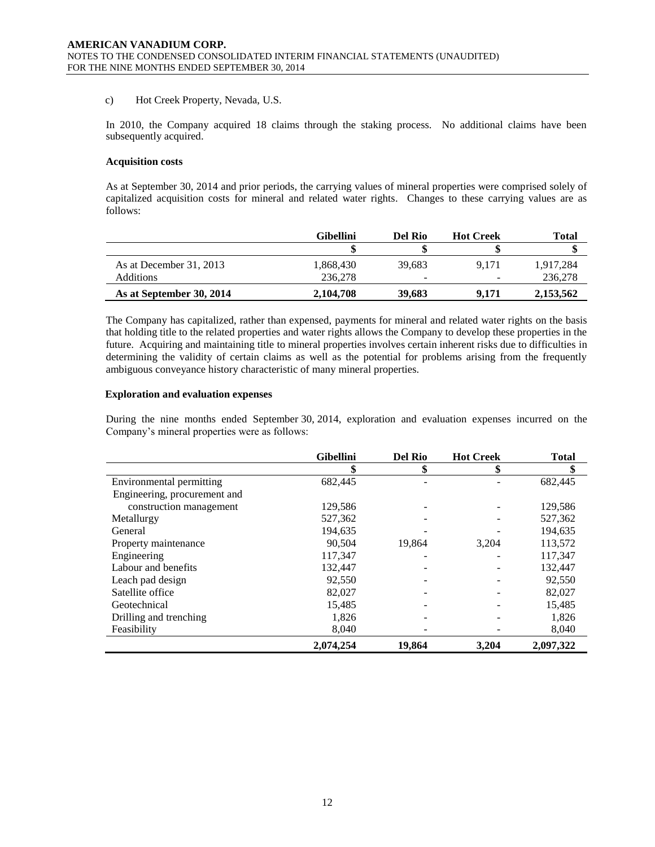#### c) Hot Creek Property, Nevada, U.S.

In 2010, the Company acquired 18 claims through the staking process. No additional claims have been subsequently acquired.

#### **Acquisition costs**

As at September 30, 2014 and prior periods, the carrying values of mineral properties were comprised solely of capitalized acquisition costs for mineral and related water rights. Changes to these carrying values are as follows:

|                          | <b>Gibellini</b> | Del Rio                  | <b>Hot Creek</b> | Total     |
|--------------------------|------------------|--------------------------|------------------|-----------|
|                          |                  |                          |                  |           |
| As at December 31, 2013  | 1.868.430        | 39.683                   | 9.171            | 1,917,284 |
| Additions                | 236,278          | $\overline{\phantom{a}}$ |                  | 236,278   |
| As at September 30, 2014 | 2,104,708        | 39,683                   | 9.171            | 2,153,562 |

The Company has capitalized, rather than expensed, payments for mineral and related water rights on the basis that holding title to the related properties and water rights allows the Company to develop these properties in the future. Acquiring and maintaining title to mineral properties involves certain inherent risks due to difficulties in determining the validity of certain claims as well as the potential for problems arising from the frequently ambiguous conveyance history characteristic of many mineral properties.

### **Exploration and evaluation expenses**

During the nine months ended September 30, 2014, exploration and evaluation expenses incurred on the Company's mineral properties were as follows:

|                              | <b>Gibellini</b> | <b>Del Rio</b> | <b>Hot Creek</b> | <b>Total</b> |
|------------------------------|------------------|----------------|------------------|--------------|
|                              | \$               | \$             |                  | \$           |
| Environmental permitting     | 682,445          |                |                  | 682,445      |
| Engineering, procurement and |                  |                |                  |              |
| construction management      | 129,586          |                |                  | 129,586      |
| Metallurgy                   | 527,362          |                |                  | 527,362      |
| General                      | 194,635          |                |                  | 194,635      |
| Property maintenance         | 90,504           | 19,864         | 3,204            | 113,572      |
| Engineering                  | 117,347          |                |                  | 117,347      |
| Labour and benefits          | 132,447          |                |                  | 132,447      |
| Leach pad design             | 92,550           |                |                  | 92,550       |
| Satellite office             | 82,027           |                |                  | 82,027       |
| Geotechnical                 | 15,485           |                |                  | 15,485       |
| Drilling and trenching       | 1,826            |                |                  | 1,826        |
| Feasibility                  | 8,040            |                |                  | 8,040        |
|                              | 2,074,254        | 19.864         | 3,204            | 2,097,322    |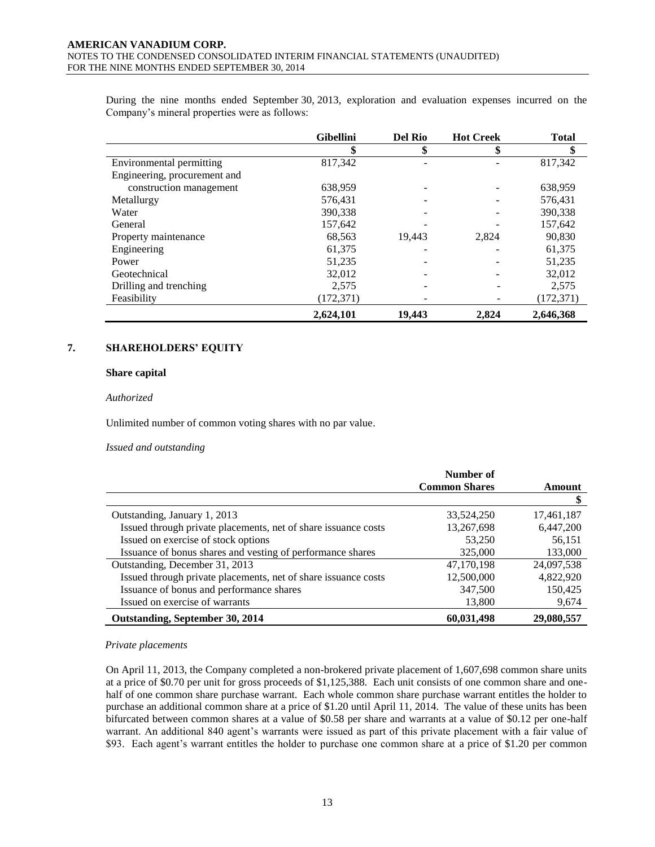During the nine months ended September 30, 2013, exploration and evaluation expenses incurred on the Company's mineral properties were as follows:

|                              | <b>Gibellini</b> | <b>Del Rio</b> | <b>Hot Creek</b> | <b>Total</b> |
|------------------------------|------------------|----------------|------------------|--------------|
|                              | \$               | \$             | \$               | \$           |
| Environmental permitting     | 817,342          |                |                  | 817,342      |
| Engineering, procurement and |                  |                |                  |              |
| construction management      | 638,959          |                |                  | 638,959      |
| Metallurgy                   | 576,431          |                |                  | 576,431      |
| Water                        | 390,338          |                |                  | 390,338      |
| General                      | 157,642          |                |                  | 157,642      |
| Property maintenance         | 68,563           | 19,443         | 2,824            | 90,830       |
| Engineering                  | 61,375           |                |                  | 61,375       |
| Power                        | 51,235           |                |                  | 51,235       |
| Geotechnical                 | 32,012           |                |                  | 32,012       |
| Drilling and trenching       | 2,575            |                |                  | 2,575        |
| Feasibility                  | (172, 371)       |                |                  | (172, 371)   |
|                              | 2,624,101        | 19,443         | 2,824            | 2,646,368    |

# **7. SHAREHOLDERS' EQUITY**

#### **Share capital**

*Authorized*

Unlimited number of common voting shares with no par value.

*Issued and outstanding*

|                                                                | Number of            |            |
|----------------------------------------------------------------|----------------------|------------|
|                                                                | <b>Common Shares</b> | Amount     |
|                                                                |                      |            |
| Outstanding, January 1, 2013                                   | 33,524,250           | 17,461,187 |
| Issued through private placements, net of share issuance costs | 13,267,698           | 6,447,200  |
| Issued on exercise of stock options                            | 53,250               | 56,151     |
| Issuance of bonus shares and vesting of performance shares     | 325,000              | 133,000    |
| Outstanding, December 31, 2013                                 | 47,170,198           | 24,097,538 |
| Issued through private placements, net of share issuance costs | 12,500,000           | 4.822.920  |
| Issuance of bonus and performance shares                       | 347,500              | 150,425    |
| Issued on exercise of warrants                                 | 13,800               | 9,674      |
| Outstanding, September 30, 2014                                | 60,031,498           | 29,080,557 |

#### *Private placements*

On April 11, 2013, the Company completed a non-brokered private placement of 1,607,698 common share units at a price of \$0.70 per unit for gross proceeds of \$1,125,388. Each unit consists of one common share and onehalf of one common share purchase warrant. Each whole common share purchase warrant entitles the holder to purchase an additional common share at a price of \$1.20 until April 11, 2014. The value of these units has been bifurcated between common shares at a value of \$0.58 per share and warrants at a value of \$0.12 per one-half warrant. An additional 840 agent's warrants were issued as part of this private placement with a fair value of \$93. Each agent's warrant entitles the holder to purchase one common share at a price of \$1.20 per common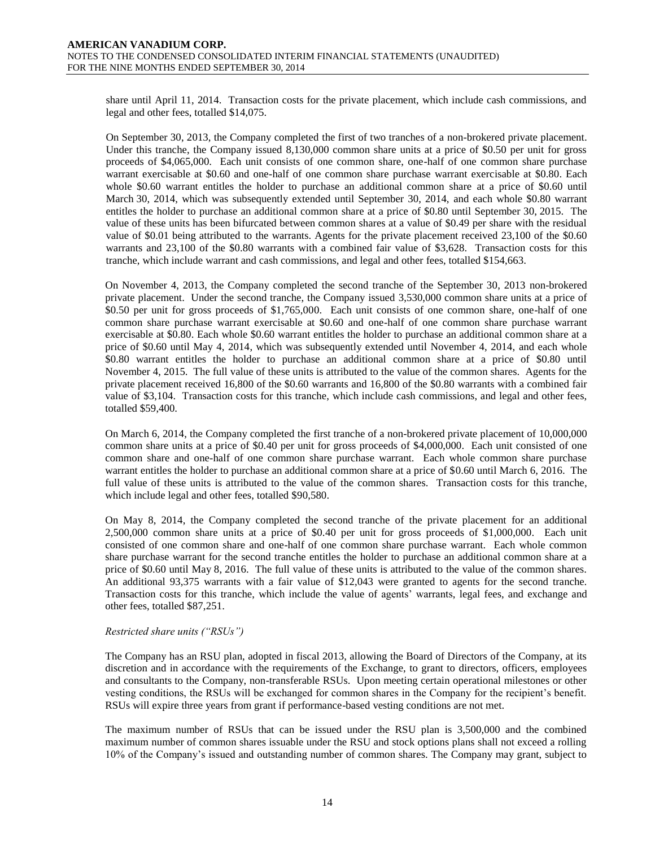share until April 11, 2014. Transaction costs for the private placement, which include cash commissions, and legal and other fees, totalled \$14,075.

On September 30, 2013, the Company completed the first of two tranches of a non-brokered private placement. Under this tranche, the Company issued 8,130,000 common share units at a price of \$0.50 per unit for gross proceeds of \$4,065,000. Each unit consists of one common share, one-half of one common share purchase warrant exercisable at \$0.60 and one-half of one common share purchase warrant exercisable at \$0.80. Each whole \$0.60 warrant entitles the holder to purchase an additional common share at a price of \$0.60 until March 30, 2014, which was subsequently extended until September 30, 2014, and each whole \$0.80 warrant entitles the holder to purchase an additional common share at a price of \$0.80 until September 30, 2015. The value of these units has been bifurcated between common shares at a value of \$0.49 per share with the residual value of \$0.01 being attributed to the warrants. Agents for the private placement received 23,100 of the \$0.60 warrants and 23,100 of the \$0.80 warrants with a combined fair value of \$3,628. Transaction costs for this tranche, which include warrant and cash commissions, and legal and other fees, totalled \$154,663.

On November 4, 2013, the Company completed the second tranche of the September 30, 2013 non-brokered private placement. Under the second tranche, the Company issued 3,530,000 common share units at a price of \$0.50 per unit for gross proceeds of \$1,765,000. Each unit consists of one common share, one-half of one common share purchase warrant exercisable at \$0.60 and one-half of one common share purchase warrant exercisable at \$0.80. Each whole \$0.60 warrant entitles the holder to purchase an additional common share at a price of \$0.60 until May 4, 2014, which was subsequently extended until November 4, 2014, and each whole \$0.80 warrant entitles the holder to purchase an additional common share at a price of \$0.80 until November 4, 2015. The full value of these units is attributed to the value of the common shares. Agents for the private placement received 16,800 of the \$0.60 warrants and 16,800 of the \$0.80 warrants with a combined fair value of \$3,104. Transaction costs for this tranche, which include cash commissions, and legal and other fees, totalled \$59,400.

On March 6, 2014, the Company completed the first tranche of a non-brokered private placement of 10,000,000 common share units at a price of \$0.40 per unit for gross proceeds of \$4,000,000. Each unit consisted of one common share and one-half of one common share purchase warrant. Each whole common share purchase warrant entitles the holder to purchase an additional common share at a price of \$0.60 until March 6, 2016. The full value of these units is attributed to the value of the common shares. Transaction costs for this tranche, which include legal and other fees, totalled \$90,580.

On May 8, 2014, the Company completed the second tranche of the private placement for an additional 2,500,000 common share units at a price of \$0.40 per unit for gross proceeds of \$1,000,000. Each unit consisted of one common share and one-half of one common share purchase warrant. Each whole common share purchase warrant for the second tranche entitles the holder to purchase an additional common share at a price of \$0.60 until May 8, 2016. The full value of these units is attributed to the value of the common shares. An additional 93,375 warrants with a fair value of \$12,043 were granted to agents for the second tranche. Transaction costs for this tranche, which include the value of agents' warrants, legal fees, and exchange and other fees, totalled \$87,251.

#### *Restricted share units ("RSUs")*

The Company has an RSU plan, adopted in fiscal 2013, allowing the Board of Directors of the Company, at its discretion and in accordance with the requirements of the Exchange, to grant to directors, officers, employees and consultants to the Company, non-transferable RSUs. Upon meeting certain operational milestones or other vesting conditions, the RSUs will be exchanged for common shares in the Company for the recipient's benefit. RSUs will expire three years from grant if performance-based vesting conditions are not met.

The maximum number of RSUs that can be issued under the RSU plan is 3,500,000 and the combined maximum number of common shares issuable under the RSU and stock options plans shall not exceed a rolling 10% of the Company's issued and outstanding number of common shares. The Company may grant, subject to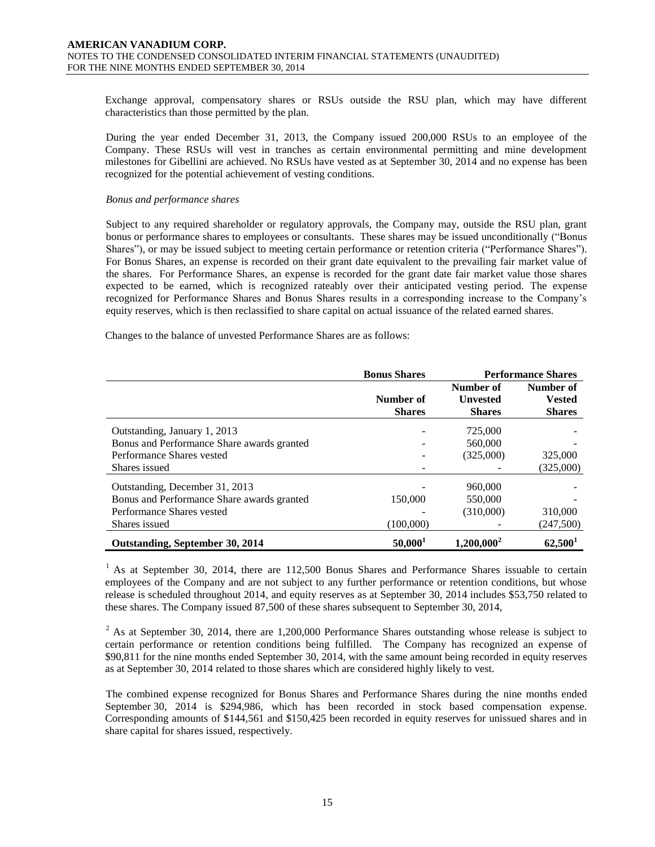Exchange approval, compensatory shares or RSUs outside the RSU plan, which may have different characteristics than those permitted by the plan.

During the year ended December 31, 2013, the Company issued 200,000 RSUs to an employee of the Company. These RSUs will vest in tranches as certain environmental permitting and mine development milestones for Gibellini are achieved. No RSUs have vested as at September 30, 2014 and no expense has been recognized for the potential achievement of vesting conditions.

#### *Bonus and performance shares*

Subject to any required shareholder or regulatory approvals, the Company may, outside the RSU plan, grant bonus or performance shares to employees or consultants. These shares may be issued unconditionally ("Bonus Shares"), or may be issued subject to meeting certain performance or retention criteria ("Performance Shares"). For Bonus Shares, an expense is recorded on their grant date equivalent to the prevailing fair market value of the shares. For Performance Shares, an expense is recorded for the grant date fair market value those shares expected to be earned, which is recognized rateably over their anticipated vesting period. The expense recognized for Performance Shares and Bonus Shares results in a corresponding increase to the Company's equity reserves, which is then reclassified to share capital on actual issuance of the related earned shares.

Changes to the balance of unvested Performance Shares are as follows:

|                                            | <b>Bonus Shares</b>        | <b>Performance Shares</b>                     |                                             |
|--------------------------------------------|----------------------------|-----------------------------------------------|---------------------------------------------|
|                                            | Number of<br><b>Shares</b> | Number of<br><b>Unvested</b><br><b>Shares</b> | Number of<br><b>Vested</b><br><b>Shares</b> |
| Outstanding, January 1, 2013               |                            | 725,000                                       |                                             |
| Bonus and Performance Share awards granted |                            | 560,000                                       |                                             |
| Performance Shares vested                  |                            | (325,000)                                     | 325,000                                     |
| Shares issued                              |                            |                                               | (325,000)                                   |
| Outstanding, December 31, 2013             |                            | 960,000                                       |                                             |
| Bonus and Performance Share awards granted | 150,000                    | 550,000                                       |                                             |
| Performance Shares vested                  |                            | (310,000)                                     | 310,000                                     |
| Shares issued                              | (100,000)                  |                                               | (247,500)                                   |
| Outstanding, September 30, 2014            | 50,000 <sup>1</sup>        | $1,200,000^2$                                 | 62,500 <sup>1</sup>                         |

 $<sup>1</sup>$  As at September 30, 2014, there are 112,500 Bonus Shares and Performance Shares issuable to certain</sup> employees of the Company and are not subject to any further performance or retention conditions, but whose release is scheduled throughout 2014, and equity reserves as at September 30, 2014 includes \$53,750 related to these shares. The Company issued 87,500 of these shares subsequent to September 30, 2014,

 $2$  As at September 30, 2014, there are 1,200,000 Performance Shares outstanding whose release is subject to certain performance or retention conditions being fulfilled. The Company has recognized an expense of \$90,811 for the nine months ended September 30, 2014, with the same amount being recorded in equity reserves as at September 30, 2014 related to those shares which are considered highly likely to vest.

The combined expense recognized for Bonus Shares and Performance Shares during the nine months ended September 30, 2014 is \$294,986, which has been recorded in stock based compensation expense. Corresponding amounts of \$144,561 and \$150,425 been recorded in equity reserves for unissued shares and in share capital for shares issued, respectively.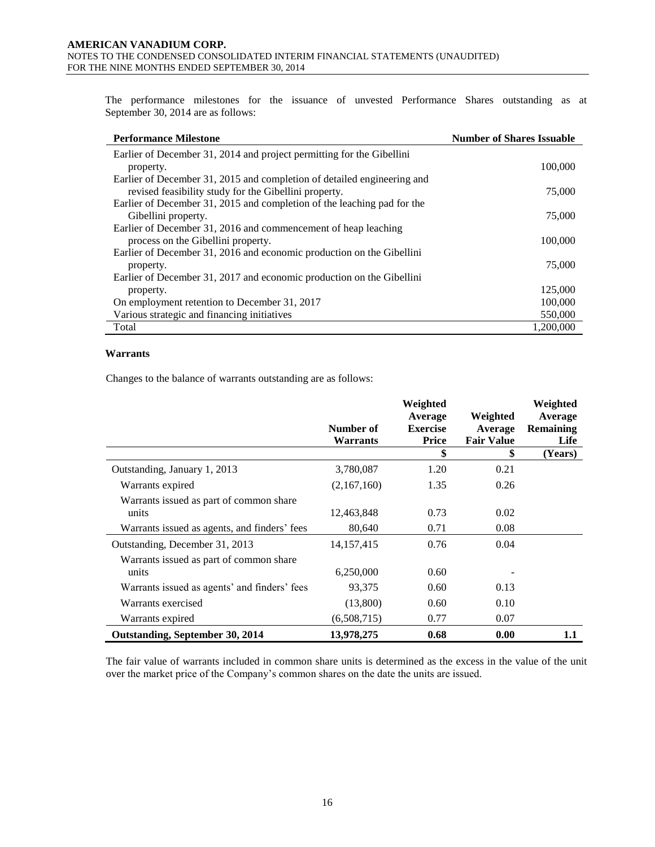The performance milestones for the issuance of unvested Performance Shares outstanding as at September 30, 2014 are as follows:

| <b>Performance Milestone</b>                                            | <b>Number of Shares Issuable</b> |
|-------------------------------------------------------------------------|----------------------------------|
| Earlier of December 31, 2014 and project permitting for the Gibellini   |                                  |
| property.                                                               | 100,000                          |
| Earlier of December 31, 2015 and completion of detailed engineering and |                                  |
| revised feasibility study for the Gibellini property.                   | 75,000                           |
| Earlier of December 31, 2015 and completion of the leaching pad for the |                                  |
| Gibellini property.                                                     | 75,000                           |
| Earlier of December 31, 2016 and commencement of heap leaching          |                                  |
| process on the Gibellini property.                                      | 100,000                          |
| Earlier of December 31, 2016 and economic production on the Gibellini   |                                  |
| property.                                                               | 75,000                           |
| Earlier of December 31, 2017 and economic production on the Gibellini   |                                  |
| property.                                                               | 125,000                          |
| On employment retention to December 31, 2017                            | 100,000                          |
| Various strategic and financing initiatives                             | 550,000                          |
| Total                                                                   | 1,200,000                        |

#### **Warrants**

Changes to the balance of warrants outstanding are as follows:

|                                                  | Number of<br>Warrants | Weighted<br>Average<br><b>Exercise</b><br>Price | Weighted<br>Average<br><b>Fair Value</b> | Weighted<br>Average<br><b>Remaining</b><br>Life |
|--------------------------------------------------|-----------------------|-------------------------------------------------|------------------------------------------|-------------------------------------------------|
|                                                  |                       | \$                                              | \$                                       | (Years)                                         |
| Outstanding, January 1, 2013                     | 3,780,087             | 1.20                                            | 0.21                                     |                                                 |
| Warrants expired                                 | (2,167,160)           | 1.35                                            | 0.26                                     |                                                 |
| Warrants issued as part of common share<br>units | 12,463,848            | 0.73                                            | 0.02                                     |                                                 |
| Warrants issued as agents, and finders' fees     | 80,640                | 0.71                                            | 0.08                                     |                                                 |
| Outstanding, December 31, 2013                   | 14, 157, 415          | 0.76                                            | 0.04                                     |                                                 |
| Warrants issued as part of common share<br>units | 6,250,000             | 0.60                                            |                                          |                                                 |
| Warrants issued as agents' and finders' fees     | 93,375                | 0.60                                            | 0.13                                     |                                                 |
| Warrants exercised                               | (13,800)              | 0.60                                            | 0.10                                     |                                                 |
| Warrants expired                                 | (6,508,715)           | 0.77                                            | 0.07                                     |                                                 |
| Outstanding, September 30, 2014                  | 13,978,275            | 0.68                                            | 0.00                                     | 1.1                                             |

The fair value of warrants included in common share units is determined as the excess in the value of the unit over the market price of the Company's common shares on the date the units are issued.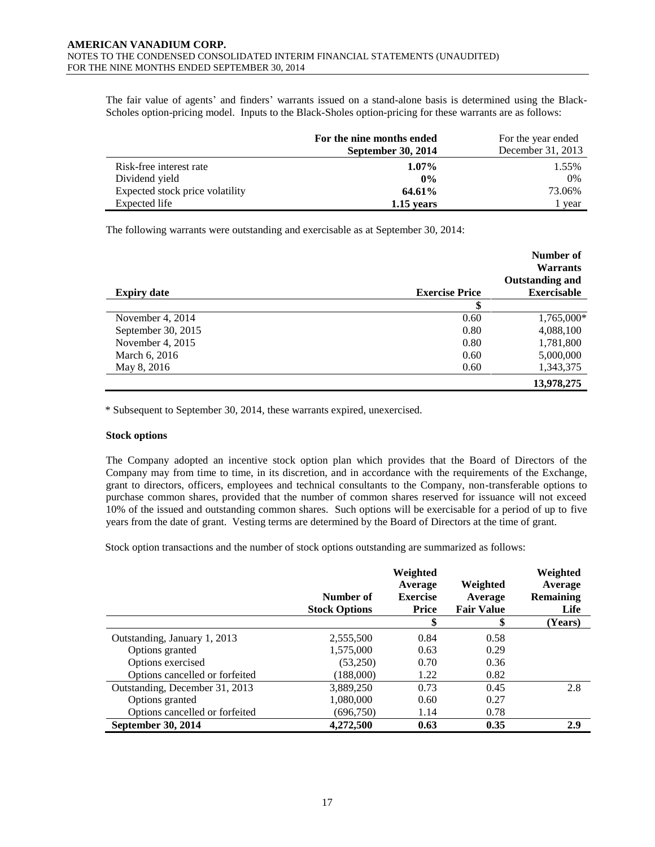The fair value of agents' and finders' warrants issued on a stand-alone basis is determined using the Black-Scholes option-pricing model. Inputs to the Black-Sholes option-pricing for these warrants are as follows:

|                                 | For the nine months ended<br><b>September 30, 2014</b> | For the year ended<br>December 31, 2013 |
|---------------------------------|--------------------------------------------------------|-----------------------------------------|
| Risk-free interest rate         | $1.07\%$                                               | 1.55%                                   |
| Dividend yield                  | $0\%$                                                  | 0%                                      |
| Expected stock price volatility | 64.61%                                                 | 73.06%                                  |
| Expected life                   | 1.15 years                                             | l year                                  |

The following warrants were outstanding and exercisable as at September 30, 2014:

|                    |                       | Number of<br><b>Warrants</b><br><b>Outstanding and</b> |
|--------------------|-----------------------|--------------------------------------------------------|
| <b>Expiry date</b> | <b>Exercise Price</b> | <b>Exercisable</b>                                     |
|                    | \$                    |                                                        |
| November 4, 2014   | 0.60                  | 1,765,000*                                             |
| September 30, 2015 | 0.80                  | 4,088,100                                              |
| November 4, 2015   | 0.80                  | 1,781,800                                              |
| March 6, 2016      | 0.60                  | 5,000,000                                              |
| May 8, 2016        | 0.60                  | 1,343,375                                              |
|                    |                       | 13,978,275                                             |

\* Subsequent to September 30, 2014, these warrants expired, unexercised.

#### **Stock options**

The Company adopted an incentive stock option plan which provides that the Board of Directors of the Company may from time to time, in its discretion, and in accordance with the requirements of the Exchange, grant to directors, officers, employees and technical consultants to the Company, non-transferable options to purchase common shares, provided that the number of common shares reserved for issuance will not exceed 10% of the issued and outstanding common shares. Such options will be exercisable for a period of up to five years from the date of grant. Vesting terms are determined by the Board of Directors at the time of grant.

Stock option transactions and the number of stock options outstanding are summarized as follows:

|                                | Number of<br><b>Stock Options</b> | Weighted<br>Average<br><b>Exercise</b><br><b>Price</b> | Weighted<br>Average<br><b>Fair Value</b> | Weighted<br>Average<br><b>Remaining</b><br>Life |
|--------------------------------|-----------------------------------|--------------------------------------------------------|------------------------------------------|-------------------------------------------------|
|                                |                                   | \$                                                     | \$                                       | (Years)                                         |
| Outstanding, January 1, 2013   | 2,555,500                         | 0.84                                                   | 0.58                                     |                                                 |
| Options granted                | 1,575,000                         | 0.63                                                   | 0.29                                     |                                                 |
| Options exercised              | (53,250)                          | 0.70                                                   | 0.36                                     |                                                 |
| Options cancelled or forfeited | (188,000)                         | 1.22                                                   | 0.82                                     |                                                 |
| Outstanding, December 31, 2013 | 3,889,250                         | 0.73                                                   | 0.45                                     | 2.8                                             |
| Options granted                | 1,080,000                         | 0.60                                                   | 0.27                                     |                                                 |
| Options cancelled or forfeited | (696,750)                         | 1.14                                                   | 0.78                                     |                                                 |
| September 30, 2014             | 4,272,500                         | 0.63                                                   | 0.35                                     | 2.9                                             |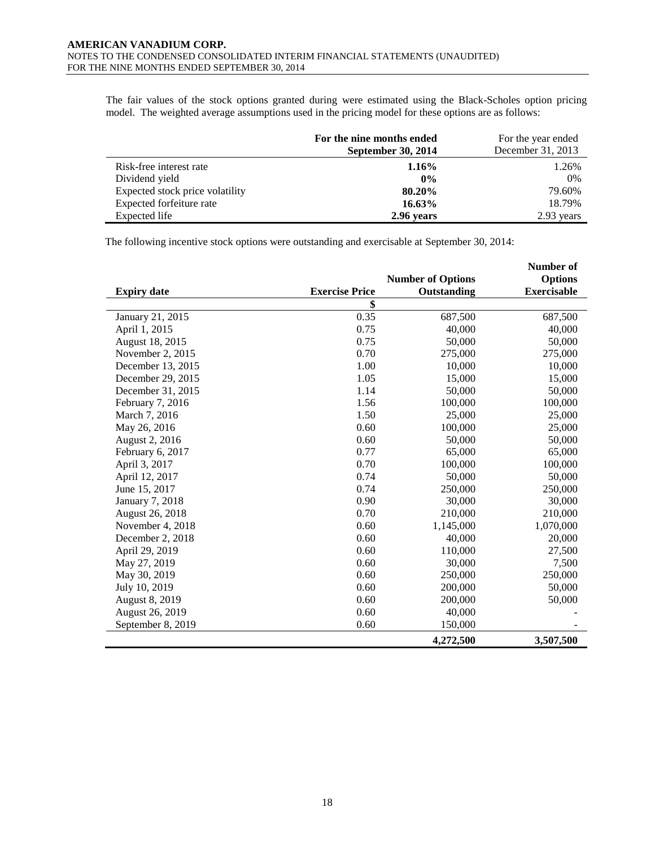The fair values of the stock options granted during were estimated using the Black-Scholes option pricing model. The weighted average assumptions used in the pricing model for these options are as follows:

|                                 | For the nine months ended<br>September 30, 2014 | For the year ended<br>December 31, 2013 |
|---------------------------------|-------------------------------------------------|-----------------------------------------|
| Risk-free interest rate         | $1.16\%$                                        | 1.26%                                   |
| Dividend yield                  | $0\%$                                           | 0%                                      |
| Expected stock price volatility | 80.20%                                          | 79.60%                                  |
| Expected forfeiture rate        | $16.63\%$                                       | 18.79%                                  |
| Expected life                   | 2.96 years                                      | 2.93 years                              |

The following incentive stock options were outstanding and exercisable at September 30, 2014:

|                    |                       |                          | <b>Number of</b>   |
|--------------------|-----------------------|--------------------------|--------------------|
|                    |                       | <b>Number of Options</b> | <b>Options</b>     |
| <b>Expiry date</b> | <b>Exercise Price</b> | Outstanding              | <b>Exercisable</b> |
|                    | \$                    |                          |                    |
| January 21, 2015   | 0.35                  | 687,500                  | 687,500            |
| April 1, 2015      | 0.75                  | 40,000                   | 40,000             |
| August 18, 2015    | 0.75                  | 50,000                   | 50,000             |
| November 2, 2015   | 0.70                  | 275,000                  | 275,000            |
| December 13, 2015  | 1.00                  | 10,000                   | 10,000             |
| December 29, 2015  | 1.05                  | 15,000                   | 15,000             |
| December 31, 2015  | 1.14                  | 50,000                   | 50,000             |
| February 7, 2016   | 1.56                  | 100,000                  | 100,000            |
| March 7, 2016      | 1.50                  | 25,000                   | 25,000             |
| May 26, 2016       | 0.60                  | 100,000                  | 25,000             |
| August 2, 2016     | 0.60                  | 50,000                   | 50,000             |
| February 6, 2017   | 0.77                  | 65,000                   | 65,000             |
| April 3, 2017      | 0.70                  | 100,000                  | 100,000            |
| April 12, 2017     | 0.74                  | 50,000                   | 50,000             |
| June 15, 2017      | 0.74                  | 250,000                  | 250,000            |
| January 7, 2018    | 0.90                  | 30,000                   | 30,000             |
| August 26, 2018    | 0.70                  | 210,000                  | 210,000            |
| November 4, 2018   | 0.60                  | 1,145,000                | 1,070,000          |
| December 2, 2018   | 0.60                  | 40,000                   | 20,000             |
| April 29, 2019     | 0.60                  | 110,000                  | 27,500             |
| May 27, 2019       | 0.60                  | 30,000                   | 7,500              |
| May 30, 2019       | 0.60                  | 250,000                  | 250,000            |
| July 10, 2019      | 0.60                  | 200,000                  | 50,000             |
| August 8, 2019     | 0.60                  | 200,000                  | 50,000             |
| August 26, 2019    | 0.60                  | 40,000                   |                    |
| September 8, 2019  | 0.60                  | 150,000                  |                    |
|                    |                       | 4,272,500                | 3,507,500          |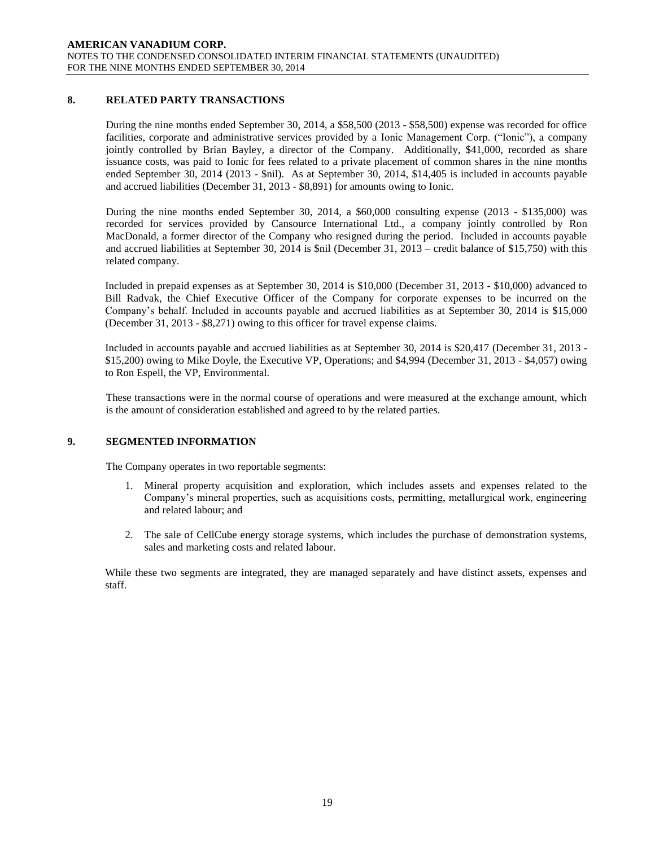# **8. RELATED PARTY TRANSACTIONS**

During the nine months ended September 30, 2014, a \$58,500 (2013 - \$58,500) expense was recorded for office facilities, corporate and administrative services provided by a Ionic Management Corp. ("Ionic"), a company jointly controlled by Brian Bayley, a director of the Company. Additionally, \$41,000, recorded as share issuance costs, was paid to Ionic for fees related to a private placement of common shares in the nine months ended September 30, 2014 (2013 - \$nil). As at September 30, 2014, \$14,405 is included in accounts payable and accrued liabilities (December 31, 2013 - \$8,891) for amounts owing to Ionic.

During the nine months ended September 30, 2014, a \$60,000 consulting expense (2013 - \$135,000) was recorded for services provided by Cansource International Ltd., a company jointly controlled by Ron MacDonald, a former director of the Company who resigned during the period. Included in accounts payable and accrued liabilities at September 30, 2014 is \$nil (December 31, 2013 – credit balance of \$15,750) with this related company.

Included in prepaid expenses as at September 30, 2014 is \$10,000 (December 31, 2013 - \$10,000) advanced to Bill Radvak, the Chief Executive Officer of the Company for corporate expenses to be incurred on the Company's behalf. Included in accounts payable and accrued liabilities as at September 30, 2014 is \$15,000 (December 31, 2013 - \$8,271) owing to this officer for travel expense claims.

Included in accounts payable and accrued liabilities as at September 30, 2014 is \$20,417 (December 31, 2013 - \$15,200) owing to Mike Doyle, the Executive VP, Operations; and \$4,994 (December 31, 2013 - \$4,057) owing to Ron Espell, the VP, Environmental.

These transactions were in the normal course of operations and were measured at the exchange amount, which is the amount of consideration established and agreed to by the related parties.

# **9. SEGMENTED INFORMATION**

The Company operates in two reportable segments:

- 1. Mineral property acquisition and exploration, which includes assets and expenses related to the Company's mineral properties, such as acquisitions costs, permitting, metallurgical work, engineering and related labour; and
- 2. The sale of CellCube energy storage systems, which includes the purchase of demonstration systems, sales and marketing costs and related labour.

While these two segments are integrated, they are managed separately and have distinct assets, expenses and staff.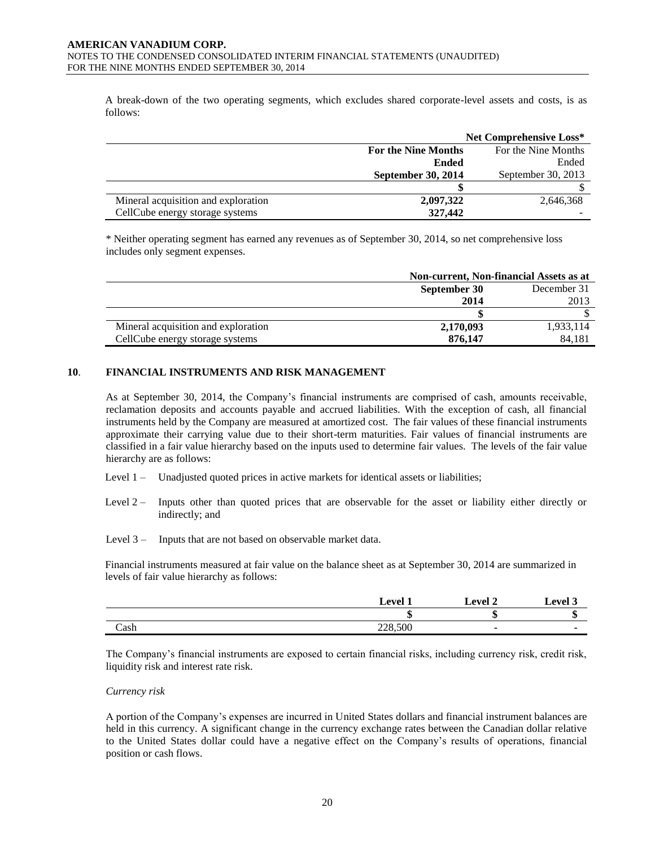A break-down of the two operating segments, which excludes shared corporate-level assets and costs, is as follows:

|                                     |                                                   | <b>Net Comprehensive Loss*</b> |
|-------------------------------------|---------------------------------------------------|--------------------------------|
|                                     | For the Nine Months<br><b>For the Nine Months</b> |                                |
|                                     | <b>Ended</b>                                      | Ended                          |
|                                     | September 30, 2014                                | September 30, 2013             |
|                                     |                                                   |                                |
| Mineral acquisition and exploration | 2,097,322                                         | 2,646,368                      |
| CellCube energy storage systems     | 327,442                                           |                                |

\* Neither operating segment has earned any revenues as of September 30, 2014, so net comprehensive loss includes only segment expenses.

|                                     | Non-current, Non-financial Assets as at |           |  |
|-------------------------------------|-----------------------------------------|-----------|--|
|                                     | September 30<br>December 31             |           |  |
|                                     | 2014                                    | 2013      |  |
|                                     |                                         |           |  |
| Mineral acquisition and exploration | 2,170,093                               | 1,933,114 |  |
| CellCube energy storage systems     | 876,147                                 | 84.181    |  |

# **10**. **FINANCIAL INSTRUMENTS AND RISK MANAGEMENT**

As at September 30, 2014, the Company's financial instruments are comprised of cash, amounts receivable, reclamation deposits and accounts payable and accrued liabilities. With the exception of cash, all financial instruments held by the Company are measured at amortized cost. The fair values of these financial instruments approximate their carrying value due to their short-term maturities. Fair values of financial instruments are classified in a fair value hierarchy based on the inputs used to determine fair values. The levels of the fair value hierarchy are as follows:

- Level 1 Unadjusted quoted prices in active markets for identical assets or liabilities;
- Level 2 Inputs other than quoted prices that are observable for the asset or liability either directly or indirectly; and
- Level 3 Inputs that are not based on observable market data.

Financial instruments measured at fair value on the balance sheet as at September 30, 2014 are summarized in levels of fair value hierarchy as follows:

|      | $\sim$ $\alpha v$  | evel 2            | . .<br>evel |
|------|--------------------|-------------------|-------------|
|      |                    | "<br>$\mathbf{H}$ |             |
| Cash | 500<br>220<br>20.0 |                   |             |

The Company's financial instruments are exposed to certain financial risks, including currency risk, credit risk, liquidity risk and interest rate risk.

#### *Currency risk*

A portion of the Company's expenses are incurred in United States dollars and financial instrument balances are held in this currency. A significant change in the currency exchange rates between the Canadian dollar relative to the United States dollar could have a negative effect on the Company's results of operations, financial position or cash flows.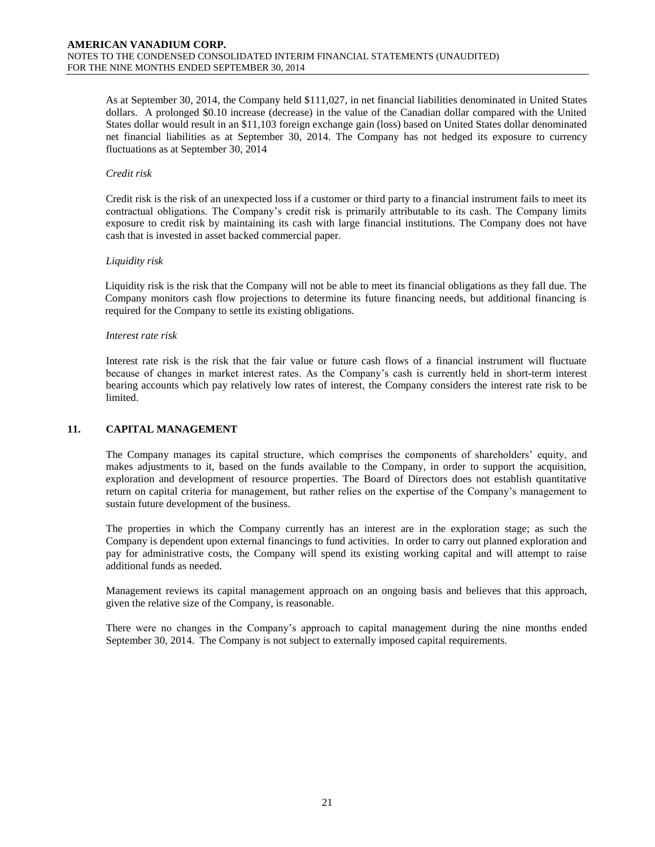As at September 30, 2014, the Company held \$111,027, in net financial liabilities denominated in United States dollars. A prolonged \$0.10 increase (decrease) in the value of the Canadian dollar compared with the United States dollar would result in an \$11,103 foreign exchange gain (loss) based on United States dollar denominated net financial liabilities as at September 30, 2014. The Company has not hedged its exposure to currency fluctuations as at September 30, 2014

# *Credit risk*

Credit risk is the risk of an unexpected loss if a customer or third party to a financial instrument fails to meet its contractual obligations. The Company's credit risk is primarily attributable to its cash. The Company limits exposure to credit risk by maintaining its cash with large financial institutions. The Company does not have cash that is invested in asset backed commercial paper.

### *Liquidity risk*

Liquidity risk is the risk that the Company will not be able to meet its financial obligations as they fall due. The Company monitors cash flow projections to determine its future financing needs, but additional financing is required for the Company to settle its existing obligations.

#### *Interest rate risk*

Interest rate risk is the risk that the fair value or future cash flows of a financial instrument will fluctuate because of changes in market interest rates. As the Company's cash is currently held in short-term interest bearing accounts which pay relatively low rates of interest, the Company considers the interest rate risk to be limited.

# **11. CAPITAL MANAGEMENT**

The Company manages its capital structure, which comprises the components of shareholders' equity, and makes adjustments to it, based on the funds available to the Company, in order to support the acquisition, exploration and development of resource properties. The Board of Directors does not establish quantitative return on capital criteria for management, but rather relies on the expertise of the Company's management to sustain future development of the business.

The properties in which the Company currently has an interest are in the exploration stage; as such the Company is dependent upon external financings to fund activities. In order to carry out planned exploration and pay for administrative costs, the Company will spend its existing working capital and will attempt to raise additional funds as needed.

Management reviews its capital management approach on an ongoing basis and believes that this approach, given the relative size of the Company, is reasonable.

There were no changes in the Company's approach to capital management during the nine months ended September 30, 2014. The Company is not subject to externally imposed capital requirements.